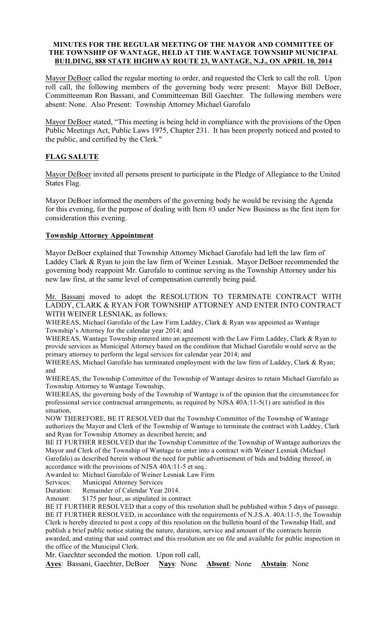#### MINUTES FOR THE REGULAR MEETING OF THE MAYOR AND COMMITTEE OF THE TOWNSHIP OF WANTAGE, HELD AT THE WANTAGE TOWNSHIP MUNICIPAL BUILDING, 888 STATE HIGHWAY ROUTE 23, WANTAGE, N.J., ON APRIL 10, 2014

Mayor DeBoer called the regular meeting to order, and requested the Clerk to call the roll. Upon roll call, the following members of the governing body were present: Mayor Bill DeBoer, Committeeman Ron Bassani, and Committeeman Bill Gaechter. The following members were absent: None. Also Present: Township Attorney Michael Garofalo

Mayor DeBoer stated, "This meeting is being held in compliance with the provisions of the Open Public Meetings Act, Public Laws 1975, Chapter 231. It has been properly noticed and posted to the public, and certified by the Clerk."

# FLAG SALUTE

Mayor DeBoer invited all persons present to participate in the Pledge of Allegiance to the United States Flag.

Mayor DeBoer informed the members of the governing body he would be revising the Agenda for this evening, for the purpose of dealing with Item #3 under New Business as the first item for consideration this evening.

# Township Attorney Appointment

Mayor DeBoer explained that Township Attorney Michael Garofalo had left the law firm of Laddey Clark & Ryan to join the law firm of Weiner Lesniak. Mayor DeBoer recommended the governing body reappoint Mr. Garofalo to continue serving as the Township Attorney under his new law first, at the same level of compensation currently being paid.

Mr. Bassani moved to adopt the RESOLUTION TO TERMINATE CONTRACT WITH LADDY, CLARK & RYAN FOR TOWNSHIP ATTORNEY AND ENTER INTO CONTRACT WITH WEINER LESNIAK, as follows:

WHEREAS, Michael Garofalo of the Law Firm Laddey, Clark & Ryan was appointed as Wantage Township's Attorney for the calendar year 2014; and

WHEREAS, Wantage Township entered into an agreement with the Law Firm Laddey, Clark & Ryan to provide services as Municipal Attorney based on the condition that Michael Garofalo would serve as the primary attorney to perform the legal services for calendar year 2014; and

WHEREAS, Michael Garofalo has terminated employment with the law firm of Laddey, Clark & Ryan; and

WHEREAS, the Township Committee of the Township of Wantage desires to retain Michael Garofalo as Township Attorney to Wantage Township,

WHEREAS, the governing body of the Township of Wantage is of the opinion that the circumstances for professional service contractual arrangements, as required by NJSA 40A:11-5(1) are satisfied in this situation,

NOW THEREFORE, BE IT RESOLVED that the Township Committee of the Township of Wantage authorizes the Mayor and Clerk of the Township of Wantage to terminate the contract with Laddey, Clark and Ryan for Township Attorney as described herein; and

BE IT FURTHER RESOLVED that the Township Committee of the Township of Wantage authorizes the Mayor and Clerk of the Township of Wantage to enter into a contract with Weiner Lesniak (Michael Garofalo) as described herein without the need for public advertisement of bids and bidding thereof, in accordance with the provisions of NJSA 40A:11-5 et seq.:

Awarded to: Michael Garofalo of Weiner Lesniak Law Firm

Services: Municipal Attorney Services

Duration: Remainder of Calendar Year 2014.

Amount: \$175 per hour, as stipulated in contract

BE IT FURTHER RESOLVED that a copy of this resolution shall be published within 5 days of passage. BE IT FURTHER RESOLVED, in accordance with the requirements of N.J.S.A. 40A:11-5, the Township Clerk is hereby directed to post a copy of this resolution on the bulletin board of the Township Hall, and publish a brief public notice stating the nature, duration, service and amount of the contracts herein awarded, and stating that said contract and this resolution are on file and available for public inspection in the office of the Municipal Clerk.

Mr. Gaechter seconded the motion. Upon roll call,

Ayes: Bassani, Gaechter, DeBoer Nays: None Absent: None Abstain: None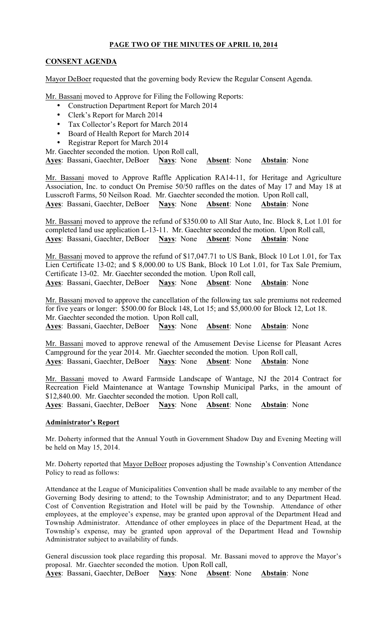# PAGE TWO OF THE MINUTES OF APRIL 10, 2014

# CONSENT AGENDA

Mayor DeBoer requested that the governing body Review the Regular Consent Agenda.

Mr. Bassani moved to Approve for Filing the Following Reports:

- Construction Department Report for March 2014
- Clerk's Report for March 2014
- Tax Collector's Report for March 2014
- Board of Health Report for March 2014
- Registrar Report for March 2014

Mr. Gaechter seconded the motion. Upon Roll call,

Ayes: Bassani, Gaechter, DeBoer Nays: None Absent: None Abstain: None

Mr. Bassani moved to Approve Raffle Application RA14-11, for Heritage and Agriculture Association, Inc. to conduct On Premise 50/50 raffles on the dates of May 17 and May 18 at Lusscroft Farms, 50 Neilson Road. Mr. Gaechter seconded the motion. Upon Roll call, Ayes: Bassani, Gaechter, DeBoer Nays: None Absent: None Abstain: None

Mr. Bassani moved to approve the refund of \$350.00 to All Star Auto, Inc. Block 8, Lot 1.01 for completed land use application L-13-11. Mr. Gaechter seconded the motion. Upon Roll call, Ayes: Bassani, Gaechter, DeBoer Nays: None Absent: None Abstain: None

Mr. Bassani moved to approve the refund of \$17,047.71 to US Bank, Block 10 Lot 1.01, for Tax Lien Certificate 13-02; and \$ 8,000.00 to US Bank, Block 10 Lot 1.01, for Tax Sale Premium, Certificate 13-02. Mr. Gaechter seconded the motion. Upon Roll call, Ayes: Bassani, Gaechter, DeBoer Nays: None Absent: None Abstain: None

Mr. Bassani moved to approve the cancellation of the following tax sale premiums not redeemed for five years or longer: \$500.00 for Block 148, Lot 15; and \$5,000.00 for Block 12, Lot 18. Mr. Gaechter seconded the motion. Upon Roll call, Ayes: Bassani, Gaechter, DeBoer Nays: None Absent: None Abstain: None

Mr. Bassani moved to approve renewal of the Amusement Devise License for Pleasant Acres Campground for the year 2014. Mr. Gaechter seconded the motion. Upon Roll call, Ayes: Bassani, Gaechter, DeBoer Nays: None Absent: None Abstain: None

Mr. Bassani moved to Award Farmside Landscape of Wantage, NJ the 2014 Contract for Recreation Field Maintenance at Wantage Township Municipal Parks, in the amount of \$12,840.00. Mr. Gaechter seconded the motion. Upon Roll call, Ayes: Bassani, Gaechter, DeBoer Nays: None Absent: None Abstain: None

# Administrator's Report

Mr. Doherty informed that the Annual Youth in Government Shadow Day and Evening Meeting will be held on May 15, 2014.

Mr. Doherty reported that Mayor DeBoer proposes adjusting the Township's Convention Attendance Policy to read as follows:

Attendance at the League of Municipalities Convention shall be made available to any member of the Governing Body desiring to attend; to the Township Administrator; and to any Department Head. Cost of Convention Registration and Hotel will be paid by the Township. Attendance of other employees, at the employee's expense, may be granted upon approval of the Department Head and Township Administrator. Attendance of other employees in place of the Department Head, at the Township's expense, may be granted upon approval of the Department Head and Township Administrator subject to availability of funds.

General discussion took place regarding this proposal. Mr. Bassani moved to approve the Mayor's proposal. Mr. Gaechter seconded the motion. Upon Roll call, Ayes: Bassani, Gaechter, DeBoer Nays: None Absent: None Abstain: None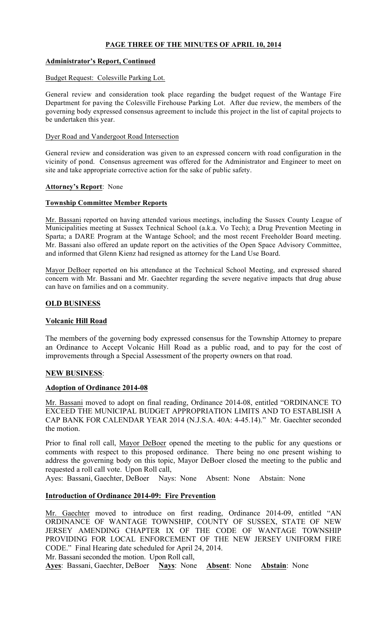# PAGE THREE OF THE MINUTES OF APRIL 10, 2014

# Administrator's Report, Continued

#### Budget Request: Colesville Parking Lot.

General review and consideration took place regarding the budget request of the Wantage Fire Department for paving the Colesville Firehouse Parking Lot. After due review, the members of the governing body expressed consensus agreement to include this project in the list of capital projects to be undertaken this year.

#### Dyer Road and Vandergoot Road Intersection

General review and consideration was given to an expressed concern with road configuration in the vicinity of pond. Consensus agreement was offered for the Administrator and Engineer to meet on site and take appropriate corrective action for the sake of public safety.

#### Attorney's Report: None

#### Township Committee Member Reports

Mr. Bassani reported on having attended various meetings, including the Sussex County League of Municipalities meeting at Sussex Technical School (a.k.a. Vo Tech); a Drug Prevention Meeting in Sparta; a DARE Program at the Wantage School; and the most recent Freeholder Board meeting. Mr. Bassani also offered an update report on the activities of the Open Space Advisory Committee, and informed that Glenn Kienz had resigned as attorney for the Land Use Board.

Mayor DeBoer reported on his attendance at the Technical School Meeting, and expressed shared concern with Mr. Bassani and Mr. Gaechter regarding the severe negative impacts that drug abuse can have on families and on a community.

#### OLD BUSINESS

### Volcanic Hill Road

The members of the governing body expressed consensus for the Township Attorney to prepare an Ordinance to Accept Volcanic Hill Road as a public road, and to pay for the cost of improvements through a Special Assessment of the property owners on that road.

# NEW BUSINESS:

# Adoption of Ordinance 2014-08

Mr. Bassani moved to adopt on final reading, Ordinance 2014-08, entitled "ORDINANCE TO EXCEED THE MUNICIPAL BUDGET APPROPRIATION LIMITS AND TO ESTABLISH A CAP BANK FOR CALENDAR YEAR 2014 (N.J.S.A. 40A: 4-45.14)." Mr. Gaechter seconded the motion.

Prior to final roll call, Mayor DeBoer opened the meeting to the public for any questions or comments with respect to this proposed ordinance. There being no one present wishing to address the governing body on this topic, Mayor DeBoer closed the meeting to the public and requested a roll call vote. Upon Roll call,

Ayes: Bassani, Gaechter, DeBoer Nays: None Absent: None Abstain: None

# Introduction of Ordinance 2014-09: Fire Prevention

Mr. Gaechter moved to introduce on first reading, Ordinance 2014-09, entitled "AN ORDINANCE OF WANTAGE TOWNSHIP, COUNTY OF SUSSEX, STATE OF NEW JERSEY AMENDING CHAPTER IX OF THE CODE OF WANTAGE TOWNSHIP PROVIDING FOR LOCAL ENFORCEMENT OF THE NEW JERSEY UNIFORM FIRE CODE." Final Hearing date scheduled for April 24, 2014.

Mr. Bassani seconded the motion. Upon Roll call,

Ayes: Bassani, Gaechter, DeBoer Nays: None Absent: None Abstain: None